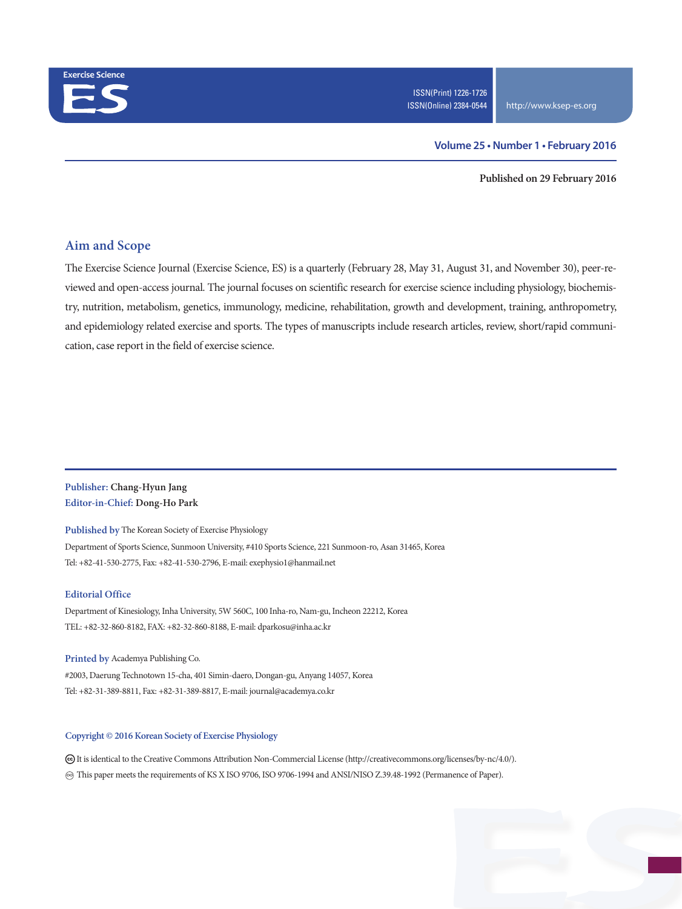

#### **Volume 25 • Number 1 • February 2016**

**Published on 29 February 2016**

## **Aim and Scope**

The Exercise Science Journal (Exercise Science, ES) is a quarterly (February 28, May 31, August 31, and November 30), peer-reviewed and open-access journal. The journal focuses on scientific research for exercise science including physiology, biochemistry, nutrition, metabolism, genetics, immunology, medicine, rehabilitation, growth and development, training, anthropometry, and epidemiology related exercise and sports. The types of manuscripts include research articles, review, short/rapid communication, case report in the field of exercise science.

## **Publisher: Chang-Hyun Jang Editor-in-Chief: Dong-Ho Park**

**Published by** The Korean Society of Exercise Physiology Department of Sports Science, Sunmoon University, #410 Sports Science, 221 Sunmoon-ro, Asan 31465, Korea

Tel: +82-41-530-2775, Fax: +82-41-530-2796, E-mail: exephysio1@hanmail.net

#### **Editorial Office**

Department of Kinesiology, Inha University, 5W 560C, 100 Inha-ro, Nam-gu, Incheon 22212, Korea TEL: +82-32-860-8182, FAX: +82-32-860-8188, E-mail: dparkosu@inha.ac.kr

**Printed by** Academya Publishing Co. #2003, Daerung Technotown 15-cha, 401 Simin-daero, Dongan-gu, Anyang 14057, Korea Tel: +82-31-389-8811, Fax: +82-31-389-8817, E-mail: journal@academya.co.kr

#### **Copyright © 2016 Korean Society of Exercise Physiology**

 It is identical to the Creative Commons Attribution Non-Commercial License (http://creativecommons.org/licenses/by-nc/4.0/). ∞ This paper meets the requirements of KS X ISO 9706, ISO 9706-1994 and ANSI/NISO Z.39.48-1992 (Permanence of Paper).

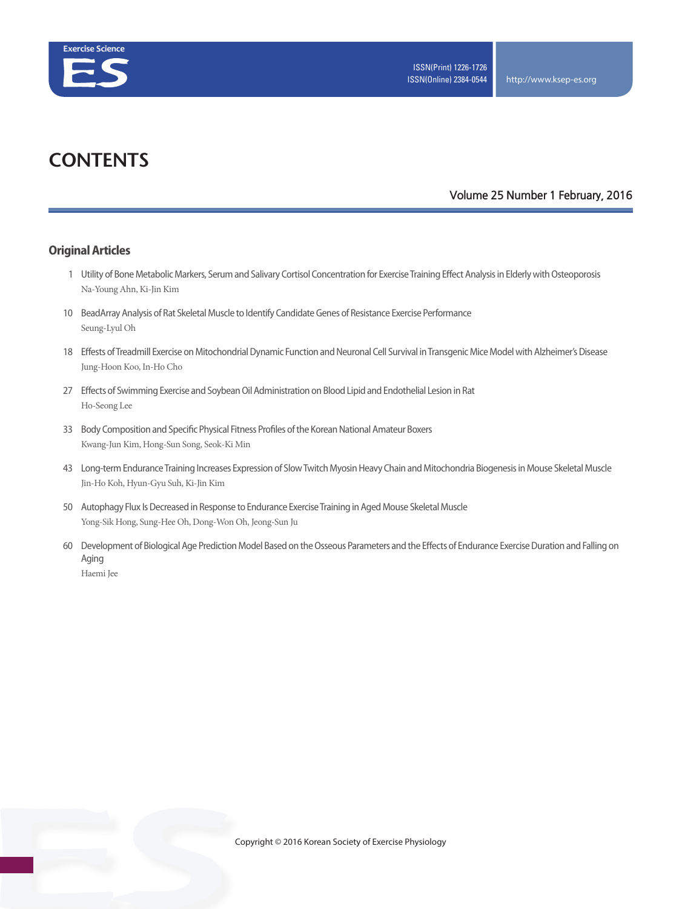

# **CONTENTS**

### **Volume 25 Number 1 February, 2016**

### **Original Articles**

- 1 Utility of Bone Metabolic Markers, Serum and Salivary Cortisol Concentration for Exercise Training Effect Analysis in Elderly with Osteoporosis Na-Young Ahn, Ki-Jin Kim
- 10 BeadArray Analysis of Rat Skeletal Muscle to Identify Candidate Genes of Resistance Exercise Performance Seung-Lyul Oh
- 18 Effests of Treadmill Exercise on Mitochondrial Dynamic Function and Neuronal Cell Survival in Transgenic Mice Model with Alzheimer's Disease Jung-Hoon Koo, In-Ho Cho
- 27 Effects of Swimming Exercise and Soybean Oil Administration on Blood Lipid and Endothelial Lesion in Rat Ho-Seong Lee
- 33 Body Composition and Specific Physical Fitness Profiles of the Korean National Amateur Boxers Kwang-Jun Kim, Hong-Sun Song, Seok-Ki Min
- 43 Long-term Endurance Training Increases Expression of Slow Twitch Myosin Heavy Chain and Mitochondria Biogenesis in Mouse Skeletal Muscle Jin-Ho Koh, Hyun-Gyu Suh, Ki-Jin Kim
- 50 Autophagy Flux Is Decreased in Response to Endurance Exercise Training in Aged Mouse Skeletal Muscle Yong-Sik Hong, Sung-Hee Oh, Dong-Won Oh, Jeong-Sun Ju
- 60 Development of Biological Age Prediction Model Based on the Osseous Parameters and the Effects of Endurance Exercise Duration and Falling on Aging Haemi Jee